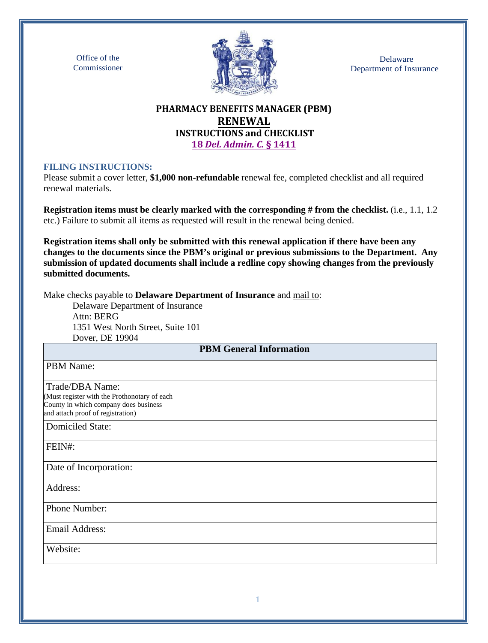Office of the Commissioner



Delaware Department of Insurance

## **PHARMACY BENEFITS MANAGER (PBM) RENEWAL INSTRUCTIONS and CHECKLIST 18** *[Del. Admin. C.](https://regulations.delaware.gov/AdminCode/title18/1400/1411.shtml#TopOfPage)* **§ 1411**

#### **FILING INSTRUCTIONS:**

Please submit a cover letter, **\$1,000 non-refundable** renewal fee, completed checklist and all required renewal materials.

**Registration items must be clearly marked with the corresponding # from the checklist.** (i.e., 1.1, 1.2 etc.) Failure to submit all items as requested will result in the renewal being denied.

**Registration items shall only be submitted with this renewal application if there have been any changes to the documents since the PBM's original or previous submissions to the Department. Any submission of updated documents shall include a redline copy showing changes from the previously submitted documents.**

Make checks payable to **Delaware Department of Insurance** and mail to:

Delaware Department of Insurance Attn: BERG 1351 West North Street, Suite 101 Dover, DE 19904

| DUIVI, DLI 1770 I                                                                                                                             | <b>PBM General Information</b> |
|-----------------------------------------------------------------------------------------------------------------------------------------------|--------------------------------|
| PBM Name:                                                                                                                                     |                                |
| Trade/DBA Name:<br>(Must register with the Prothonotary of each<br>County in which company does business<br>and attach proof of registration) |                                |
| <b>Domiciled State:</b>                                                                                                                       |                                |
| FEIN#:                                                                                                                                        |                                |
| Date of Incorporation:                                                                                                                        |                                |
| Address:                                                                                                                                      |                                |
| Phone Number:                                                                                                                                 |                                |
| <b>Email Address:</b>                                                                                                                         |                                |
| Website:                                                                                                                                      |                                |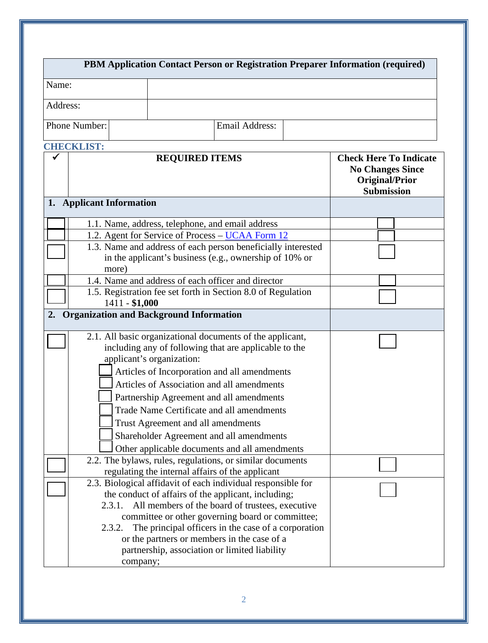|                                                                                                               |                              | PBM Application Contact Person or Registration Preparer Information (required)                                                                                                                                                                                                                                                                                                                                                                                            |                       |  |  |  |
|---------------------------------------------------------------------------------------------------------------|------------------------------|---------------------------------------------------------------------------------------------------------------------------------------------------------------------------------------------------------------------------------------------------------------------------------------------------------------------------------------------------------------------------------------------------------------------------------------------------------------------------|-----------------------|--|--|--|
| Name:                                                                                                         |                              |                                                                                                                                                                                                                                                                                                                                                                                                                                                                           |                       |  |  |  |
| Address:                                                                                                      |                              |                                                                                                                                                                                                                                                                                                                                                                                                                                                                           |                       |  |  |  |
| Phone Number:                                                                                                 |                              |                                                                                                                                                                                                                                                                                                                                                                                                                                                                           | <b>Email Address:</b> |  |  |  |
|                                                                                                               |                              |                                                                                                                                                                                                                                                                                                                                                                                                                                                                           |                       |  |  |  |
| <b>CHECKLIST:</b><br><b>REQUIRED ITEMS</b><br>✔                                                               |                              | <b>Check Here To Indicate</b><br><b>No Changes Since</b><br><b>Original/Prior</b><br><b>Submission</b>                                                                                                                                                                                                                                                                                                                                                                    |                       |  |  |  |
| 1. Applicant Information                                                                                      |                              |                                                                                                                                                                                                                                                                                                                                                                                                                                                                           |                       |  |  |  |
|                                                                                                               |                              | 1.1. Name, address, telephone, and email address                                                                                                                                                                                                                                                                                                                                                                                                                          |                       |  |  |  |
|                                                                                                               |                              | 1.2. Agent for Service of Process - UCAA Form 12                                                                                                                                                                                                                                                                                                                                                                                                                          |                       |  |  |  |
|                                                                                                               | more)                        | 1.3. Name and address of each person beneficially interested<br>in the applicant's business (e.g., ownership of 10% or                                                                                                                                                                                                                                                                                                                                                    |                       |  |  |  |
| 1.4. Name and address of each officer and director                                                            |                              |                                                                                                                                                                                                                                                                                                                                                                                                                                                                           |                       |  |  |  |
| 1.5. Registration fee set forth in Section 8.0 of Regulation<br>1411 - \$1,000                                |                              |                                                                                                                                                                                                                                                                                                                                                                                                                                                                           |                       |  |  |  |
| 2.                                                                                                            |                              | <b>Organization and Background Information</b>                                                                                                                                                                                                                                                                                                                                                                                                                            |                       |  |  |  |
|                                                                                                               |                              | 2.1. All basic organizational documents of the applicant,<br>including any of following that are applicable to the<br>applicant's organization:<br>Articles of Incorporation and all amendments<br>Articles of Association and all amendments<br>Partnership Agreement and all amendments<br>Trade Name Certificate and all amendments<br>Trust Agreement and all amendments<br>Shareholder Agreement and all amendments<br>Other applicable documents and all amendments |                       |  |  |  |
| 2.2. The bylaws, rules, regulations, or similar documents<br>regulating the internal affairs of the applicant |                              |                                                                                                                                                                                                                                                                                                                                                                                                                                                                           |                       |  |  |  |
|                                                                                                               | 2.3.1.<br>2.3.2.<br>company; | 2.3. Biological affidavit of each individual responsible for<br>the conduct of affairs of the applicant, including;<br>All members of the board of trustees, executive<br>committee or other governing board or committee;<br>The principal officers in the case of a corporation<br>or the partners or members in the case of a<br>partnership, association or limited liability                                                                                         |                       |  |  |  |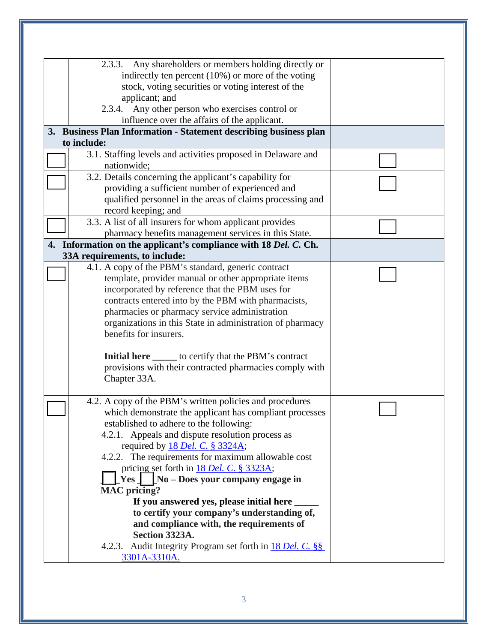| Any shareholders or members holding directly or<br>2.3.3.         |  |
|-------------------------------------------------------------------|--|
| indirectly ten percent $(10\%)$ or more of the voting             |  |
| stock, voting securities or voting interest of the                |  |
| applicant; and                                                    |  |
| Any other person who exercises control or<br>2.3.4.               |  |
| influence over the affairs of the applicant.                      |  |
| 3. Business Plan Information - Statement describing business plan |  |
| to include:                                                       |  |
| 3.1. Staffing levels and activities proposed in Delaware and      |  |
| nationwide;                                                       |  |
| 3.2. Details concerning the applicant's capability for            |  |
| providing a sufficient number of experienced and                  |  |
| qualified personnel in the areas of claims processing and         |  |
| record keeping; and                                               |  |
| 3.3. A list of all insurers for whom applicant provides           |  |
| pharmacy benefits management services in this State.              |  |
| 4. Information on the applicant's compliance with 18 Del. C. Ch.  |  |
| 33A requirements, to include:                                     |  |
| 4.1. A copy of the PBM's standard, generic contract               |  |
| template, provider manual or other appropriate items              |  |
| incorporated by reference that the PBM uses for                   |  |
| contracts entered into by the PBM with pharmacists,               |  |
| pharmacies or pharmacy service administration                     |  |
| organizations in this State in administration of pharmacy         |  |
| benefits for insurers.                                            |  |
|                                                                   |  |
| <b>Initial here</b> _______ to certify that the PBM's contract    |  |
| provisions with their contracted pharmacies comply with           |  |
| Chapter 33A.                                                      |  |
|                                                                   |  |
| 4.2. A copy of the PBM's written policies and procedures          |  |
| which demonstrate the applicant has compliant processes           |  |
| established to adhere to the following:                           |  |
| 4.2.1. Appeals and dispute resolution process as                  |  |
| required by 18 Del. C. § 3324A;                                   |  |
| 4.2.2. The requirements for maximum allowable cost                |  |
| pricing set forth in 18 Del. C. § 3323A;                          |  |
| $\lfloor$ No – Does your company engage in<br>Yes 1               |  |
| <b>MAC</b> pricing?                                               |  |
| If you answered yes, please initial here                          |  |
| to certify your company's understanding of,                       |  |
| and compliance with, the requirements of                          |  |
| Section 3323A.                                                    |  |
| 4.2.3. Audit Integrity Program set forth in 18 Del. C. §§         |  |
| 3301A-3310A.                                                      |  |
|                                                                   |  |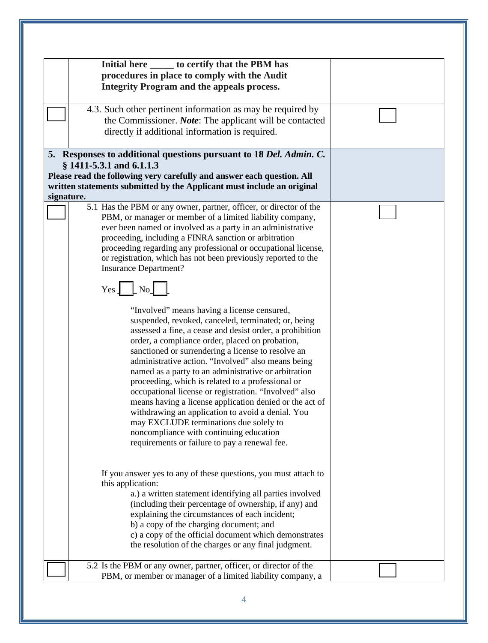|            | Initial here ______ to certify that the PBM has                                                                      |  |
|------------|----------------------------------------------------------------------------------------------------------------------|--|
|            | procedures in place to comply with the Audit                                                                         |  |
|            | <b>Integrity Program and the appeals process.</b>                                                                    |  |
|            |                                                                                                                      |  |
|            | 4.3. Such other pertinent information as may be required by                                                          |  |
|            | the Commissioner. <i>Note</i> : The applicant will be contacted                                                      |  |
|            | directly if additional information is required.                                                                      |  |
|            |                                                                                                                      |  |
|            | 5. Responses to additional questions pursuant to 18 Del. Admin. C.                                                   |  |
|            | $§$ 1411-5.3.1 and 6.1.1.3                                                                                           |  |
|            |                                                                                                                      |  |
|            | Please read the following very carefully and answer each question. All                                               |  |
|            | written statements submitted by the Applicant must include an original                                               |  |
| signature. |                                                                                                                      |  |
|            | 5.1 Has the PBM or any owner, partner, officer, or director of the                                                   |  |
|            | PBM, or manager or member of a limited liability company,                                                            |  |
|            | ever been named or involved as a party in an administrative<br>proceeding, including a FINRA sanction or arbitration |  |
|            | proceeding regarding any professional or occupational license,                                                       |  |
|            | or registration, which has not been previously reported to the                                                       |  |
|            | <b>Insurance Department?</b>                                                                                         |  |
|            |                                                                                                                      |  |
|            | Yes $\lfloor N_{0} \rfloor$                                                                                          |  |
|            |                                                                                                                      |  |
|            | "Involved" means having a license censured,                                                                          |  |
|            | suspended, revoked, canceled, terminated; or, being                                                                  |  |
|            | assessed a fine, a cease and desist order, a prohibition                                                             |  |
|            | order, a compliance order, placed on probation,                                                                      |  |
|            | sanctioned or surrendering a license to resolve an                                                                   |  |
|            | administrative action. "Involved" also means being                                                                   |  |
|            | named as a party to an administrative or arbitration                                                                 |  |
|            | proceeding, which is related to a professional or                                                                    |  |
|            | occupational license or registration. "Involved" also                                                                |  |
|            | means having a license application denied or the act of                                                              |  |
|            | withdrawing an application to avoid a denial. You                                                                    |  |
|            | may EXCLUDE terminations due solely to                                                                               |  |
|            | noncompliance with continuing education                                                                              |  |
|            | requirements or failure to pay a renewal fee.                                                                        |  |
|            |                                                                                                                      |  |
|            |                                                                                                                      |  |
|            | If you answer yes to any of these questions, you must attach to                                                      |  |
|            | this application:                                                                                                    |  |
|            | a.) a written statement identifying all parties involved                                                             |  |
|            | (including their percentage of ownership, if any) and                                                                |  |
|            | explaining the circumstances of each incident;                                                                       |  |
|            | b) a copy of the charging document; and                                                                              |  |
|            | c) a copy of the official document which demonstrates                                                                |  |
|            | the resolution of the charges or any final judgment.                                                                 |  |
|            |                                                                                                                      |  |
|            | 5.2 Is the PBM or any owner, partner, officer, or director of the                                                    |  |
|            | PBM, or member or manager of a limited liability company, a                                                          |  |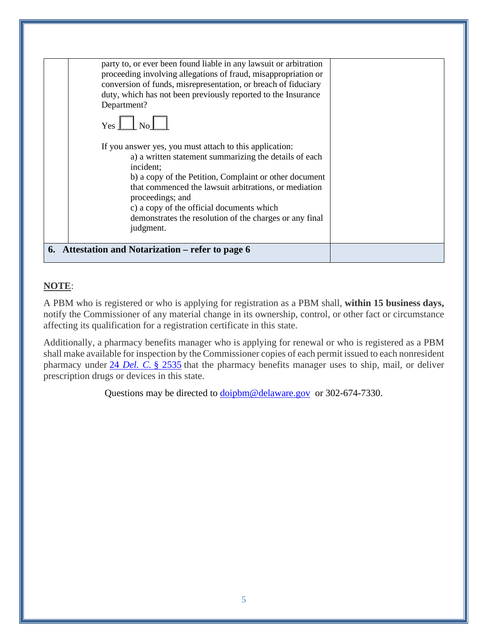| conversion of funds, misrepresentation, or breach of fiduciary<br>duty, which has not been previously reported to the Insurance<br>Department?<br>$Yes \Box No \Box$                                                                                                                                                                                                                       |  |
|--------------------------------------------------------------------------------------------------------------------------------------------------------------------------------------------------------------------------------------------------------------------------------------------------------------------------------------------------------------------------------------------|--|
| If you answer yes, you must attach to this application:<br>a) a written statement summarizing the details of each<br>incident:<br>b) a copy of the Petition, Complaint or other document<br>that commenced the lawsuit arbitrations, or mediation<br>proceedings; and<br>c) a copy of the official documents which<br>demonstrates the resolution of the charges or any final<br>judgment. |  |

# **NOTE**:

A PBM who is registered or who is applying for registration as a PBM shall, **within 15 business days,** notify the Commissioner of any material change in its ownership, control, or other fact or circumstance affecting its qualification for a registration certificate in this state.

Additionally, a pharmacy benefits manager who is applying for renewal or who is registered as a PBM shall make available for inspection by the Commissioner copies of each permit issued to each nonresident pharmacy under 24 *[Del. C.](https://delcode.delaware.gov/title24/c025/sc04/index.shtml#2535)* § 2535 that the pharmacy benefits manager uses to ship, mail, or deliver prescription drugs or devices in this state.

Questions may be directed to [doipbm@delaware.gov](mailto:doipbm@delaware.gov) or 302-674-7330.